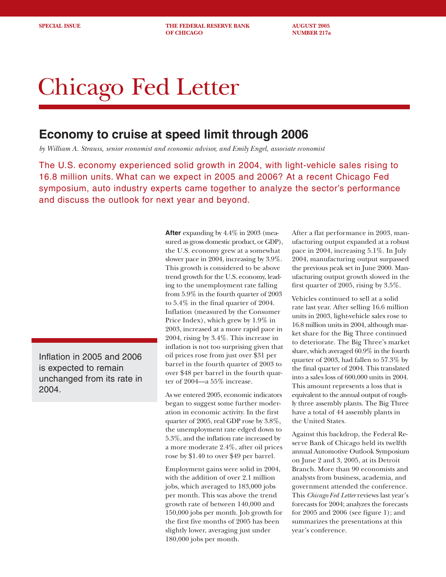**SPECIAL ISSUE THE FEDERAL RESERVE BANK AUGUST 2005 OF CHICAGO NUMBER 217a** 

# Chicago Fed Letter

## **Economy to cruise at speed limit through 2006**

*by William A. Strauss, senior economist and economic advisor, and Emily Engel, associate economist*

The U.S. economy experienced solid growth in 2004, with light-vehicle sales rising to 16.8 million units. What can we expect in 2005 and 2006? At a recent Chicago Fed symposium, auto industry experts came together to analyze the sector's performance and discuss the outlook for next year and beyond.

Inflation in 2005 and 2006 is expected to remain unchanged from its rate in 2004.

**After** expanding by 4.4% in 2003 (measured as gross domestic product, or GDP), the U.S. economy grew at a somewhat slower pace in 2004, increasing by 3.9%. This growth is considered to be above trend growth for the U.S. economy, leading to the unemployment rate falling from 5.9% in the fourth quarter of 2003 to 5.4% in the final quarter of 2004. Inflation (measured by the Consumer Price Index), which grew by 1.9% in 2003, increased at a more rapid pace in 2004, rising by 3.4%. This increase in inflation is not too surprising given that oil prices rose from just over \$31 per barrel in the fourth quarter of 2003 to over \$48 per barrel in the fourth quarter of 2004—a 55% increase.

As we entered 2005, economic indicators began to suggest some further moderation in economic activity. In the first quarter of 2005, real GDP rose by 3.8%, the unemployment rate edged down to 5.3%, and the inflation rate increased by a more moderate 2.4%, after oil prices rose by \$1.40 to over \$49 per barrel.

Employment gains were solid in 2004, with the addition of over 2.1 million jobs, which averaged to 183,000 jobs per month. This was above the trend growth rate of between 140,000 and 150,000 jobs per month. Job growth for the first five months of 2005 has been slightly lower, averaging just under 180,000 jobs per month.

After a flat performance in 2003, manufacturing output expanded at a robust pace in 2004, increasing 5.1%. In July 2004, manufacturing output surpassed the previous peak set in June 2000. Manufacturing output growth slowed in the first quarter of 2005, rising by 3.5%.

Vehicles continued to sell at a solid rate last year. After selling 16.6 million units in 2003, light-vehicle sales rose to 16.8 million units in 2004, although market share for the Big Three continued to deteriorate. The Big Three's market share, which averaged 60.9% in the fourth quarter of 2003, had fallen to 57.3% by the final quarter of 2004. This translated into a sales loss of 600,000 units in 2004. This amount represents a loss that is equivalent to the annual output of roughly three assembly plants. The Big Three have a total of 44 assembly plants in the United States.

Against this backdrop, the Federal Reserve Bank of Chicago held its twelfth annual Automotive Outlook Symposium on June 2 and 3, 2005, at its Detroit Branch. More than 90 economists and analysts from business, academia, and government attended the conference. This *Chicago Fed Letter* reviews last year's forecasts for 2004; analyzes the forecasts for 2005 and 2006 (see figure 1); and summarizes the presentations at this year's conference.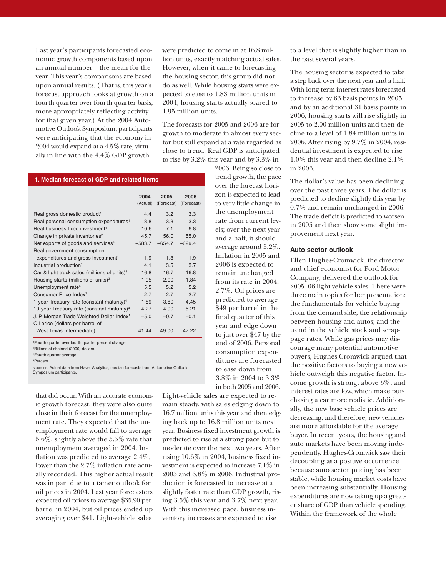Last year's participants forecasted economic growth components based upon an annual number—the mean for the year. This year's comparisons are based upon annual results. (That is, this year's forecast approach looks at growth on a fourth quarter over fourth quarter basis, more appropriately reflecting activity for that given year.) At the 2004 Automotive Outlook Symposium, participants were anticipating that the economy in 2004 would expand at a 4.5% rate, virtually in line with the 4.4% GDP growth

were predicted to come in at 16.8 million units, exactly matching actual sales. However, when it came to forecasting the housing sector, this group did not do as well. While housing starts were expected to ease to 1.83 million units in 2004, housing starts actually soared to 1.95 million units.

The forecasts for 2005 and 2006 are for growth to moderate in almost every sector but still expand at a rate regarded as close to trend. Real GDP is anticipated to rise by 3.2% this year and by 3.3% in

> 2006. Being so close to trend growth, the pace over the forecast horizon is expected to lead to very little change in the unemployment rate from current levels; over the next year and a half, it should average around 5.2%. Inflation in 2005 and 2006 is expected to remain unchanged from its rate in 2004, 2.7%. Oil prices are predicted to average \$49 per barrel in the final quarter of this year and edge down to just over \$47 by the end of 2006. Personal consumption expenditures are forecasted to ease down from 3.8% in 2004 to 3.3% in both 2005 and 2006.

#### **1. Median forecast of GDP and related items**

|                                                                 | 2004     | 2005       | 2006       |
|-----------------------------------------------------------------|----------|------------|------------|
|                                                                 | (Actual) | (Forecast) | (Forecast) |
|                                                                 |          |            |            |
| Real gross domestic product <sup>1</sup>                        | 4.4      | 3.2        | 3.3        |
| Real personal consumption expenditures <sup>1</sup>             | 3.8      | 3.3        | 3.3        |
| Real business fixed investment <sup>1</sup>                     | 10.6     | 71         | 6.8        |
| Change in private inventories <sup>2</sup>                      | 45.7     | 56.0       | 55.0       |
| Net exports of goods and services <sup>2</sup>                  | $-583.7$ | $-654.7$   | $-629.4$   |
| Real government consumption                                     |          |            |            |
| expenditures and gross investment <sup>1</sup>                  | 1.9      | 1.8        | 1.9        |
| Industrial production <sup>1</sup>                              | 41       | 3.5        | 3.7        |
| Car & light truck sales (millions of units) $3$                 | 16.8     | 16.7       | 16.8       |
| Housing starts (millions of units) <sup>3</sup>                 | 1.95     | 2.00       | 1.84       |
| Unemployment rate <sup>4</sup>                                  | 5.5      | 5.2        | 5.2        |
| Consumer Price Index <sup>1</sup>                               | 2.7      | 2.7        | 2.7        |
| 1-year Treasury rate (constant maturity) <sup>4</sup>           | 1.89     | 3.80       | 4 4 5      |
| 10-year Treasury rate (constant maturity) <sup>4</sup>          | 4.27     | 4.90       | 5.21       |
| J. P. Morgan Trade Weighted Dollar Index <sup>1</sup>           | $-5.0$   | $-0.7$     | $-0.1$     |
| Oil price (dollars per barrel of                                |          |            |            |
| West Texas Intermediate)                                        | 41.44    | 49.00      | 47.22      |
| <sup>1</sup> Fourth quarter over fourth quarter percent change. |          |            |            |
| <sup>2</sup> Billions of chained (2000) dollars.                |          |            |            |
| <sup>3</sup> Fourth quarter average.                            |          |            |            |
| 4D <sub>exconst</sub>                                           |          |            |            |

4 Percent.

SOURCES: Actual data from Haver Analytics; median forecasts from Automotive Outlook Symposium participants.

that did occur. With an accurate economic growth forecast, they were also quite close in their forecast for the unemployment rate. They expected that the unemployment rate would fall to average 5.6%, slightly above the 5.5% rate that unemployment averaged in 2004. Inflation was predicted to average 2.4%, lower than the 2.7% inflation rate actually recorded. This higher actual result was in part due to a tamer outlook for oil prices in 2004. Last year forecasters expected oil prices to average \$35.90 per barrel in 2004, but oil prices ended up averaging over \$41. Light-vehicle sales

Light-vehicle sales are expected to remain steady, with sales edging down to 16.7 million units this year and then edging back up to 16.8 million units next year. Business fixed investment growth is predicted to rise at a strong pace but to moderate over the next two years. After rising 10.6% in 2004, business fixed investment is expected to increase 7.1% in 2005 and 6.8% in 2006. Industrial production is forecasted to increase at a slightly faster rate than GDP growth, rising 3.5% this year and 3.7% next year. With this increased pace, business inventory increases are expected to rise

to a level that is slightly higher than in the past several years.

The housing sector is expected to take a step back over the next year and a half. With long-term interest rates forecasted to increase by 63 basis points in 2005 and by an additional 31 basis points in 2006, housing starts will rise slightly in 2005 to 2.00 million units and then decline to a level of 1.84 million units in 2006. After rising by 9.7% in 2004, residential investment is expected to rise 1.0% this year and then decline 2.1% in 2006.

The dollar's value has been declining over the past three years. The dollar is predicted to decline slightly this year by 0.7% and remain unchanged in 2006. The trade deficit is predicted to worsen in 2005 and then show some slight improvement next year.

#### **Auto sector outlook**

Ellen Hughes-Cromwick, the director and chief economist for Ford Motor Company, delivered the outlook for 2005–06 light-vehicle sales. There were three main topics for her presentation: the fundamentals for vehicle buying from the demand side; the relationship between housing and autos; and the trend in the vehicle stock and scrappage rates. While gas prices may discourage many potential automotive buyers, Hughes-Cromwick argued that the positive factors to buying a new vehicle outweigh this negative factor. Income growth is strong, above 3%, and interest rates are low, which make purchasing a car more realistic. Additionally, the new base vehicle prices are decreasing, and therefore, new vehicles are more affordable for the average buyer. In recent years, the housing and auto markets have been moving independently. Hughes-Cromwick saw their decoupling as a positive occurrence because auto sector pricing has been stable, while housing market costs have been increasing substantially. Housing expenditures are now taking up a greater share of GDP than vehicle spending. Within the framework of the whole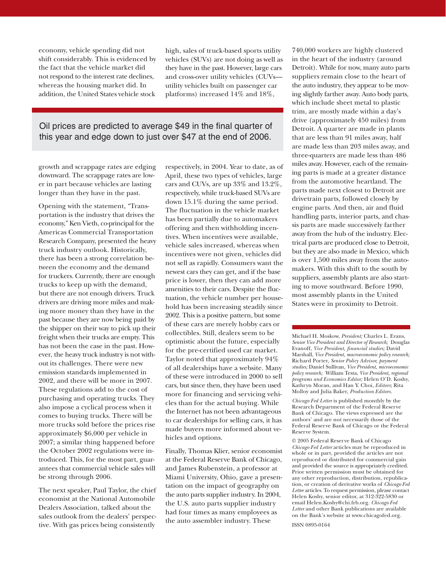economy, vehicle spending did not shift considerably. This is evidenced by the fact that the vehicle market did not respond to the interest rate declines, whereas the housing market did. In addition, the United States vehicle stock

high, sales of truck-based sports utility vehicles (SUVs) are not doing as well as they have in the past. However, large cars and cross-over utility vehicles (CUVs utility vehicles built on passenger car platforms) increased 14% and 18%,

### Oil prices are predicted to average \$49 in the final quarter of this year and edge down to just over \$47 at the end of 2006.

growth and scrappage rates are edging downward. The scrappage rates are lower in part because vehicles are lasting longer than they have in the past.

Opening with the statement, "Transportation is the industry that drives the economy," Ken Vieth, co-principal for the Americas Commercial Transportation Research Company, presented the heavy truck industry outlook. Historically, there has been a strong correlation between the economy and the demand for truckers. Currently, there are enough trucks to keep up with the demand, but there are not enough drivers. Truck drivers are driving more miles and making more money than they have in the past because they are now being paid by the shipper on their way to pick up their freight when their trucks are empty. This has not been the case in the past. However, the heavy truck industry is not without its challenges. There were new emission standards implemented in 2002, and there will be more in 2007. These regulations add to the cost of purchasing and operating trucks. They also impose a cyclical process when it comes to buying trucks. There will be more trucks sold before the prices rise approximately \$6,000 per vehicle in 2007; a similar thing happened before the October 2002 regulations were introduced. This, for the most part, guarantees that commercial vehicle sales will be strong through 2006.

The next speaker, Paul Taylor, the chief economist at the National Automobile Dealers Association, talked about the sales outlook from the dealers' perspective. With gas prices being consistently

respectively, in 2004. Year to date, as of April, these two types of vehicles, large cars and CUVs, are up 33% and 13.2%, respectively, while truck-based SUVs are down 15.1% during the same period. The fluctuation in the vehicle market has been partially due to automakers offering and then withholding incentives. When incentives were available, vehicle sales increased, whereas when incentives were not given, vehicles did not sell as rapidly. Consumers want the newest cars they can get, and if the base price is lower, then they can add more amenities to their cars. Despite the fluctuation, the vehicle number per household has been increasing steadily since 2002. This is a positive pattern, but some of these cars are merely hobby cars or collectibles. Still, dealers seem to be optimistic about the future, especially for the pre-certified used car market. Taylor noted that approximately 94% of all dealerships have a website. Many of these were introduced in 2000 to sell cars, but since then, they have been used more for financing and servicing vehicles than for the actual buying. While the Internet has not been advantageous to car dealerships for selling cars, it has made buyers more informed about vehicles and options.

Finally, Thomas Klier, senior economist at the Federal Reserve Bank of Chicago, and James Rubenstein, a professor at Miami University, Ohio, gave a presentation on the impact of geography on the auto parts supplier industry. In 2004, the U.S. auto parts supplier industry had four times as many employees as the auto assembler industry. These

740,000 workers are highly clustered in the heart of the industry (around Detroit). While for now, many auto parts suppliers remain close to the heart of the auto industry, they appear to be moving slightly farther away. Auto body parts, which include sheet metal to plastic trim, are mostly made within a day's drive (approximately 450 miles) from Detroit. A quarter are made in plants that are less than 91 miles away, half are made less than 203 miles away, and three-quarters are made less than 486 miles away. However, each of the remaining parts is made at a greater distance from the automotive heartland. The parts made next closest to Detroit are drivetrain parts, followed closely by engine parts. And then, air and fluid handling parts, interior parts, and chassis parts are made successively farther away from the hub of the industry. Electrical parts are produced close to Detroit, but they are also made in Mexico, which is over 1,500 miles away from the automakers. With this shift to the south by suppliers, assembly plants are also starting to move southward. Before 1990, most assembly plants in the United States were in proximity to Detroit.

Michael H. Moskow, *President;* Charles L. Evans, *Senior Vice President and Director of Research;* Douglas Evanoff, *Vice President, financial studies;* David Marshall, *Vice President, macroeconomic policy research;* Richard Porter, *Senior Policy Advisor, payment studies;* Daniel Sullivan*, Vice President, microeconomic policy research;* William Testa, *Vice President, regional programs and Economics Editor;* Helen O'D. Koshy, Kathryn Moran, and Han Y. Choi, *Editors*; Rita Molloy and Julia Baker, *Production Editors.*

*Chicago Fed Letter* is published monthly by the Research Department of the Federal Reserve Bank of Chicago. The views expressed are the authors' and are not necessarily those of the Federal Reserve Bank of Chicago or the Federal Reserve System.

© 2005 Federal Reserve Bank of Chicago *Chicago Fed Letter* articles may be reproduced in whole or in part, provided the articles are not reproduced or distributed for commercial gain and provided the source is appropriately credited. Prior written permission must be obtained for any other reproduction, distribution, republication, or creation of derivative works of *Chicago Fed Letter* articles. To request permission, please contact Helen Koshy, senior editor, at 312-322-5830 or email Helen.Koshy@chi.frb.org. *Chicago Fed Letter* and other Bank publications are available on the Bank's website at www.chicagofed.org.

ISSN 0895-0164